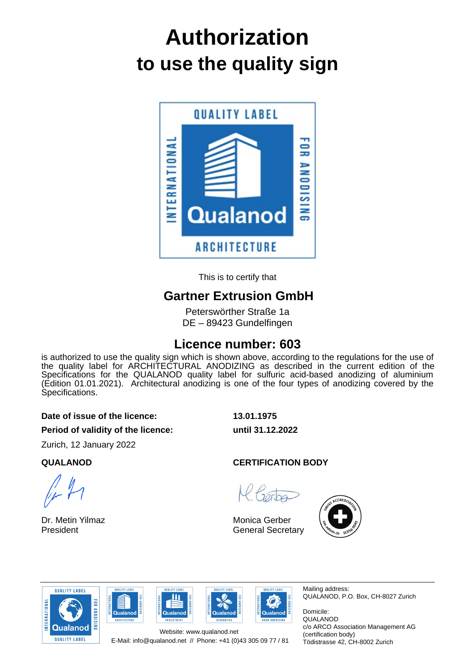# **to use the quality sign Authorization**



This is to certify that

# **Gartner Extrusion GmbH**

Peterswörther Straße 1a DE – 89423 Gundelfingen

# **Licence number: 603**

is authorized to use the quality sign which is shown above, according to the regulations for the use of the quality label for ARCHITECTURAL ANODIZING as described in the current edition of the Specifications for the QUALANOD quality label for sulfuric acid-based anodizing of aluminium (Edition 01.01.2021). Architectural anodizing is one of the four types of anodizing covered by the Specifications.

#### **Date of issue of the licence: 13.01.1975**

**Period of validity of the licence: until 31.12.2022**

Zurich, 12 January 2022

Dr. Metin Yilmaz President

### **QUALANOD CERTIFICATION BODY**

Monica Gerber General Secretary











Mailing address: QUALANOD, P.O. Box, CH-8027 Zurich

Domicile: QUALANOD c/o ARCO Association Management AG (certification body) Tödistrasse 42, CH-8002 Zurich

E-Mail: info@qualanod.net // Phone: +41 (0)43 305 09 77 / 81 Website: www.qualanod.net

**OUALITY LARE** 

 $\overline{\mathbf{u}}$ 

Qualanod

**NDUSTRIAL**